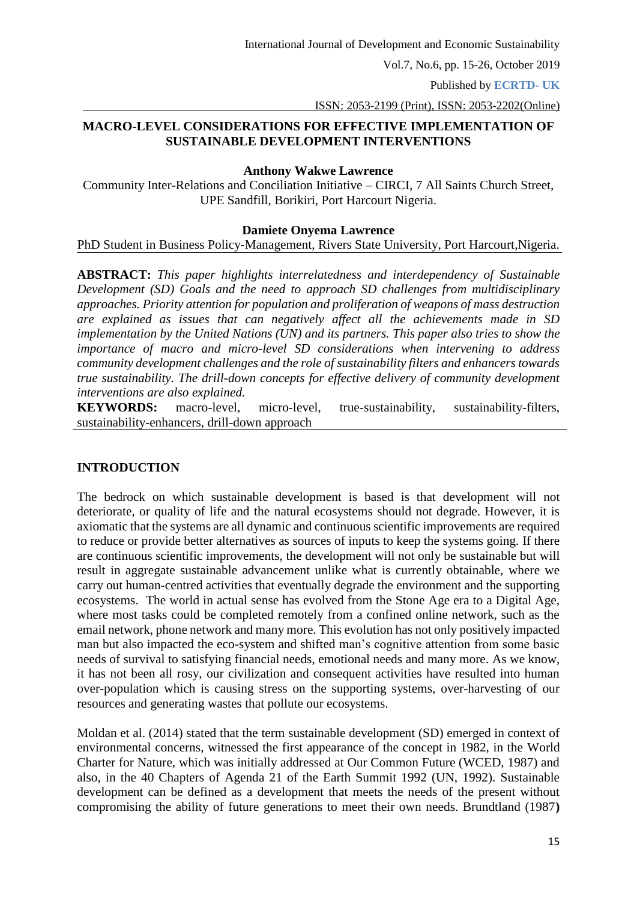Published by **ECRTD- UK** 

ISSN: 2053-2199 (Print), ISSN: 2053-2202(Online)

## **MACRO-LEVEL CONSIDERATIONS FOR EFFECTIVE IMPLEMENTATION OF SUSTAINABLE DEVELOPMENT INTERVENTIONS**

#### **Anthony Wakwe Lawrence**

Community Inter-Relations and Conciliation Initiative – CIRCI, 7 All Saints Church Street, UPE Sandfill, Borikiri, Port Harcourt Nigeria.

#### **Damiete Onyema Lawrence**

PhD Student in Business Policy-Management, Rivers State University, Port Harcourt,Nigeria.

**ABSTRACT:** *This paper highlights interrelatedness and interdependency of Sustainable Development (SD) Goals and the need to approach SD challenges from multidisciplinary approaches. Priority attention for population and proliferation of weapons of mass destruction are explained as issues that can negatively affect all the achievements made in SD implementation by the United Nations (UN) and its partners. This paper also tries to show the importance of macro and micro-level SD considerations when intervening to address community development challenges and the role of sustainability filters and enhancers towards true sustainability. The drill-down concepts for effective delivery of community development interventions are also explained.* 

**KEYWORDS:** macro-level, micro-level, true-sustainability, sustainability-filters, sustainability-enhancers, drill-down approach

#### **INTRODUCTION**

The bedrock on which sustainable development is based is that development will not deteriorate, or quality of life and the natural ecosystems should not degrade. However, it is axiomatic that the systems are all dynamic and continuous scientific improvements are required to reduce or provide better alternatives as sources of inputs to keep the systems going. If there are continuous scientific improvements, the development will not only be sustainable but will result in aggregate sustainable advancement unlike what is currently obtainable, where we carry out human-centred activities that eventually degrade the environment and the supporting ecosystems. The world in actual sense has evolved from the Stone Age era to a Digital Age, where most tasks could be completed remotely from a confined online network, such as the email network, phone network and many more. This evolution has not only positively impacted man but also impacted the eco-system and shifted man's cognitive attention from some basic needs of survival to satisfying financial needs, emotional needs and many more. As we know, it has not been all rosy, our civilization and consequent activities have resulted into human over-population which is causing stress on the supporting systems, over-harvesting of our resources and generating wastes that pollute our ecosystems.

Moldan et al. (2014) stated that the term sustainable development (SD) emerged in context of environmental concerns, witnessed the first appearance of the concept in 1982, in the World Charter for Nature, which was initially addressed at Our Common Future (WCED, 1987) and also, in the 40 Chapters of Agenda 21 of the Earth Summit 1992 (UN, 1992). Sustainable development can be defined as a development that meets the needs of the present without compromising the ability of future generations to meet their own needs. Brundtland (1987**)**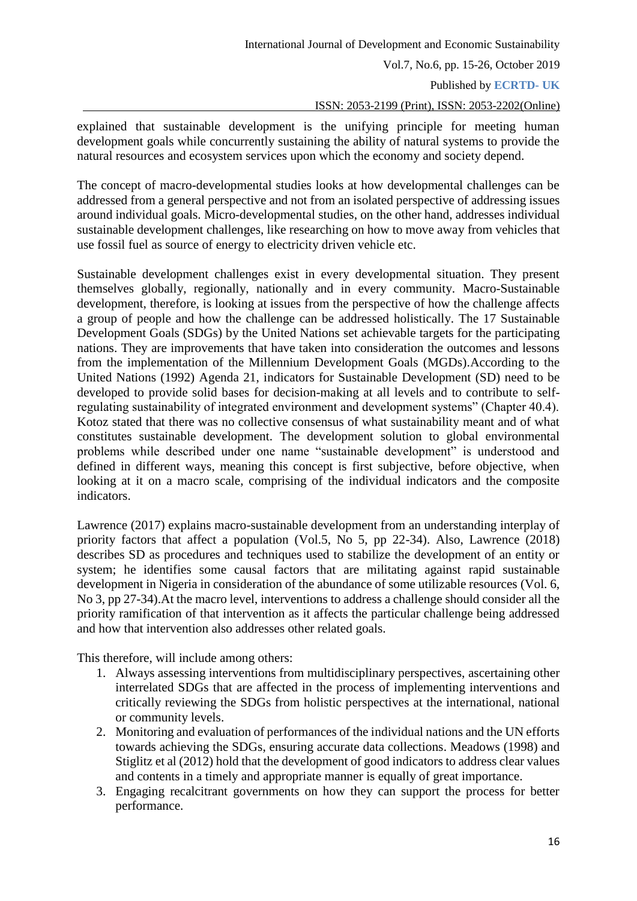Published by **ECRTD- UK** 

ISSN: 2053-2199 (Print), ISSN: 2053-2202(Online)

explained that sustainable development is the unifying principle for meeting human development goals while concurrently sustaining the ability of natural systems to provide the natural resources and ecosystem services upon which the economy and society depend.

The concept of macro-developmental studies looks at how developmental challenges can be addressed from a general perspective and not from an isolated perspective of addressing issues around individual goals. Micro-developmental studies, on the other hand, addresses individual sustainable development challenges, like researching on how to move away from vehicles that use fossil fuel as source of energy to electricity driven vehicle etc.

Sustainable development challenges exist in every developmental situation. They present themselves globally, regionally, nationally and in every community. Macro-Sustainable development, therefore, is looking at issues from the perspective of how the challenge affects a group of people and how the challenge can be addressed holistically. The 17 Sustainable Development Goals (SDGs) by the United Nations set achievable targets for the participating nations. They are improvements that have taken into consideration the outcomes and lessons from the implementation of the Millennium Development Goals (MGDs).According to the United Nations (1992) Agenda 21, indicators for Sustainable Development (SD) need to be developed to provide solid bases for decision-making at all levels and to contribute to selfregulating sustainability of integrated environment and development systems" (Chapter 40.4). Kotoz stated that there was no collective consensus of what sustainability meant and of what constitutes sustainable development. The development solution to global environmental problems while described under one name "sustainable development" is understood and defined in different ways, meaning this concept is first subjective, before objective, when looking at it on a macro scale, comprising of the individual indicators and the composite indicators.

Lawrence (2017) explains macro-sustainable development from an understanding interplay of priority factors that affect a population (Vol.5, No 5, pp 22-34). Also, Lawrence (2018) describes SD as procedures and techniques used to stabilize the development of an entity or system; he identifies some causal factors that are militating against rapid sustainable development in Nigeria in consideration of the abundance of some utilizable resources (Vol. 6, No 3, pp 27-34).At the macro level, interventions to address a challenge should consider all the priority ramification of that intervention as it affects the particular challenge being addressed and how that intervention also addresses other related goals.

This therefore, will include among others:

- 1. Always assessing interventions from multidisciplinary perspectives, ascertaining other interrelated SDGs that are affected in the process of implementing interventions and critically reviewing the SDGs from holistic perspectives at the international, national or community levels.
- 2. Monitoring and evaluation of performances of the individual nations and the UN efforts towards achieving the SDGs, ensuring accurate data collections. Meadows (1998) and Stiglitz et al (2012) hold that the development of good indicators to address clear values and contents in a timely and appropriate manner is equally of great importance.
- 3. Engaging recalcitrant governments on how they can support the process for better performance.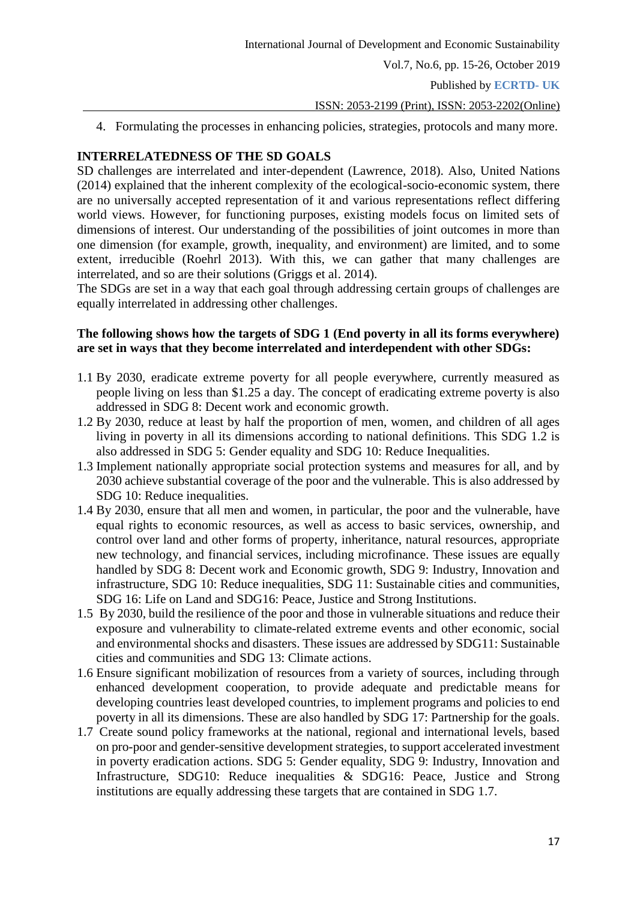Published by **ECRTD- UK** 

ISSN: 2053-2199 (Print), ISSN: 2053-2202(Online)

4. Formulating the processes in enhancing policies, strategies, protocols and many more.

## **INTERRELATEDNESS OF THE SD GOALS**

SD challenges are interrelated and inter-dependent (Lawrence, 2018). Also, United Nations (2014) explained that the inherent complexity of the ecological-socio-economic system, there are no universally accepted representation of it and various representations reflect differing world views. However, for functioning purposes, existing models focus on limited sets of dimensions of interest. Our understanding of the possibilities of joint outcomes in more than one dimension (for example, growth, inequality, and environment) are limited, and to some extent, irreducible (Roehrl 2013). With this, we can gather that many challenges are interrelated, and so are their solutions (Griggs et al. 2014).

The SDGs are set in a way that each goal through addressing certain groups of challenges are equally interrelated in addressing other challenges.

### **The following shows how the targets of SDG 1 (End poverty in all its forms everywhere) are set in ways that they become interrelated and interdependent with other SDGs:**

- 1.1 By 2030, eradicate extreme poverty for all people everywhere, currently measured as people living on less than \$1.25 a day. The concept of eradicating extreme poverty is also addressed in SDG 8: Decent work and economic growth.
- 1.2 By 2030, reduce at least by half the proportion of men, women, and children of all ages living in poverty in all its dimensions according to national definitions. This SDG 1.2 is also addressed in SDG 5: Gender equality and SDG 10: Reduce Inequalities.
- 1.3 Implement nationally appropriate social protection systems and measures for all, and by 2030 achieve substantial coverage of the poor and the vulnerable. This is also addressed by SDG 10: Reduce inequalities.
- 1.4 By 2030, ensure that all men and women, in particular, the poor and the vulnerable, have equal rights to economic resources, as well as access to basic services, ownership, and control over land and other forms of property, inheritance, natural resources, appropriate new technology, and financial services, including microfinance. These issues are equally handled by SDG 8: Decent work and Economic growth, SDG 9: Industry, Innovation and infrastructure, SDG 10: Reduce inequalities, SDG 11: Sustainable cities and communities, SDG 16: Life on Land and SDG16: Peace, Justice and Strong Institutions.
- 1.5 By 2030, build the resilience of the poor and those in vulnerable situations and reduce their exposure and vulnerability to climate-related extreme events and other economic, social and environmental shocks and disasters. These issues are addressed by SDG11: Sustainable cities and communities and SDG 13: Climate actions.
- 1.6 Ensure significant mobilization of resources from a variety of sources, including through enhanced development cooperation, to provide adequate and predictable means for developing countries least developed countries, to implement programs and policies to end poverty in all its dimensions. These are also handled by SDG 17: Partnership for the goals.
- 1.7 Create sound policy frameworks at the national, regional and international levels, based on pro-poor and gender-sensitive development strategies, to support accelerated investment in poverty eradication actions. SDG 5: Gender equality, SDG 9: Industry, Innovation and Infrastructure, SDG10: Reduce inequalities & SDG16: Peace, Justice and Strong institutions are equally addressing these targets that are contained in SDG 1.7.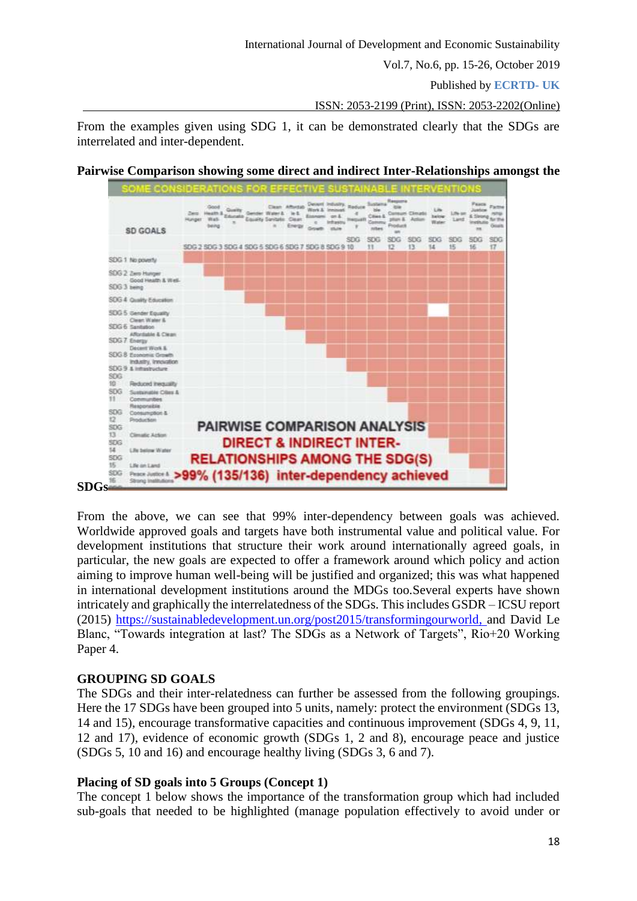Published by **ECRTD- UK** 

ISSN: 2053-2199 (Print), ISSN: 2053-2202(Online)

From the examples given using SDG 1, it can be demonstrated clearly that the SDGs are interrelated and inter-dependent.



**Pairwise Comparison showing some direct and indirect Inter-Relationships amongst the** 

From the above, we can see that 99% inter-dependency between goals was achieved. Worldwide approved goals and targets have both instrumental value and political value. For development institutions that structure their work around internationally agreed goals, in particular, the new goals are expected to offer a framework around which policy and action aiming to improve human well-being will be justified and organized; this was what happened in international development institutions around the MDGs too.Several experts have shown intricately and graphically the interrelatedness of the SDGs. This includes GSDR – ICSU report (2015) [https://sustainabledevelopment.un.org/post2015/transformingourworld,](https://sustainabledevelopment.un.org/post2015/transformingourworld) and David Le Blanc, "Towards integration at last? The SDGs as a Network of Targets", Rio+20 Working Paper 4.

## **GROUPING SD GOALS**

The SDGs and their inter-relatedness can further be assessed from the following groupings. Here the 17 SDGs have been grouped into 5 units, namely: protect the environment (SDGs 13, 14 and 15), encourage transformative capacities and continuous improvement (SDGs 4, 9, 11, 12 and 17), evidence of economic growth (SDGs 1, 2 and 8), encourage peace and justice (SDGs 5, 10 and 16) and encourage healthy living (SDGs 3, 6 and 7).

## **Placing of SD goals into 5 Groups (Concept 1)**

The concept 1 below shows the importance of the transformation group which had included sub-goals that needed to be highlighted (manage population effectively to avoid under or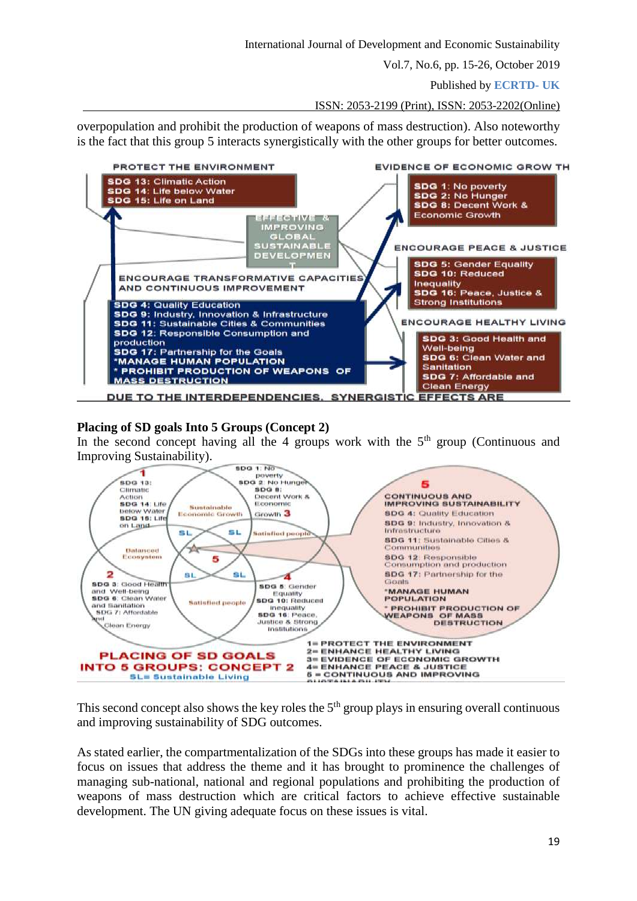Published by **ECRTD- UK** 

ISSN: 2053-2199 (Print), ISSN: 2053-2202(Online)

overpopulation and prohibit the production of weapons of mass destruction). Also noteworthy is the fact that this group 5 interacts synergistically with the other groups for better outcomes.



## **Placing of SD goals Into 5 Groups (Concept 2)**

In the second concept having all the 4 groups work with the  $5<sup>th</sup>$  group (Continuous and Improving Sustainability).



This second concept also shows the key roles the  $5<sup>th</sup>$  group plays in ensuring overall continuous and improving sustainability of SDG outcomes.

As stated earlier, the compartmentalization of the SDGs into these groups has made it easier to focus on issues that address the theme and it has brought to prominence the challenges of managing sub-national, national and regional populations and prohibiting the production of weapons of mass destruction which are critical factors to achieve effective sustainable development. The UN giving adequate focus on these issues is vital.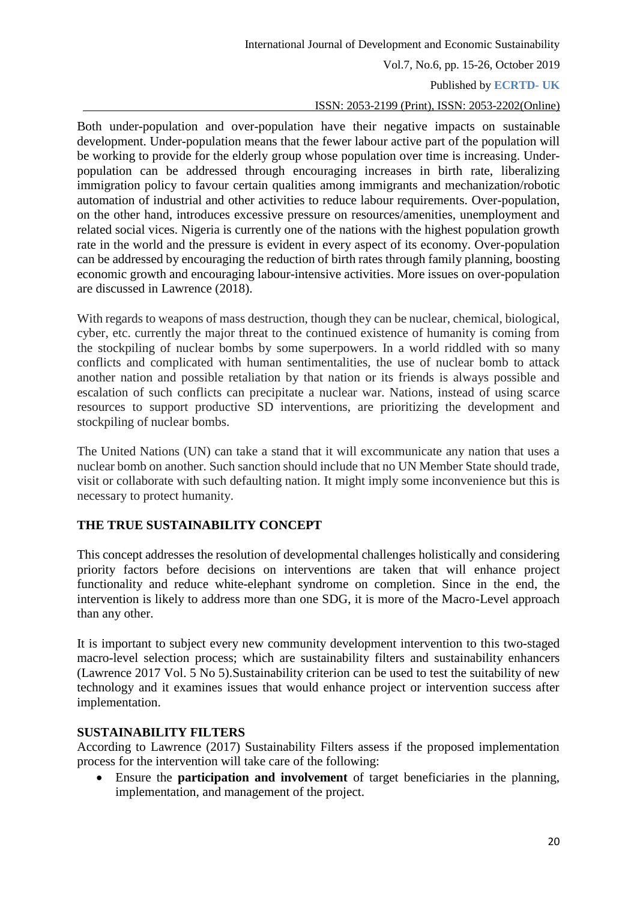International Journal of Development and Economic Sustainability

Vol.7, No.6, pp. 15-26, October 2019

Published by **ECRTD- UK** 

#### ISSN: 2053-2199 (Print), ISSN: 2053-2202(Online)

Both under-population and over-population have their negative impacts on sustainable development. Under-population means that the fewer labour active part of the population will be working to provide for the elderly group whose population over time is increasing. Underpopulation can be addressed through encouraging increases in birth rate, liberalizing immigration policy to favour certain qualities among immigrants and mechanization/robotic automation of industrial and other activities to reduce labour requirements. Over-population, on the other hand, introduces excessive pressure on resources/amenities, unemployment and related social vices. Nigeria is currently one of the nations with the highest population growth rate in the world and the pressure is evident in every aspect of its economy. Over-population can be addressed by encouraging the reduction of birth rates through family planning, boosting economic growth and encouraging labour-intensive activities. More issues on over-population are discussed in Lawrence (2018).

With regards to weapons of mass destruction, though they can be nuclear, chemical, biological, cyber, etc. currently the major threat to the continued existence of humanity is coming from the stockpiling of nuclear bombs by some superpowers. In a world riddled with so many conflicts and complicated with human sentimentalities, the use of nuclear bomb to attack another nation and possible retaliation by that nation or its friends is always possible and escalation of such conflicts can precipitate a nuclear war. Nations, instead of using scarce resources to support productive SD interventions, are prioritizing the development and stockpiling of nuclear bombs.

The United Nations (UN) can take a stand that it will excommunicate any nation that uses a nuclear bomb on another. Such sanction should include that no UN Member State should trade, visit or collaborate with such defaulting nation. It might imply some inconvenience but this is necessary to protect humanity.

## **THE TRUE SUSTAINABILITY CONCEPT**

This concept addresses the resolution of developmental challenges holistically and considering priority factors before decisions on interventions are taken that will enhance project functionality and reduce white-elephant syndrome on completion. Since in the end, the intervention is likely to address more than one SDG, it is more of the Macro-Level approach than any other.

It is important to subject every new community development intervention to this two-staged macro-level selection process; which are sustainability filters and sustainability enhancers (Lawrence 2017 Vol. 5 No 5).Sustainability criterion can be used to test the suitability of new technology and it examines issues that would enhance project or intervention success after implementation.

# **SUSTAINABILITY FILTERS**

According to Lawrence (2017) Sustainability Filters assess if the proposed implementation process for the intervention will take care of the following:

 Ensure the **participation and involvement** of target beneficiaries in the planning, implementation, and management of the project.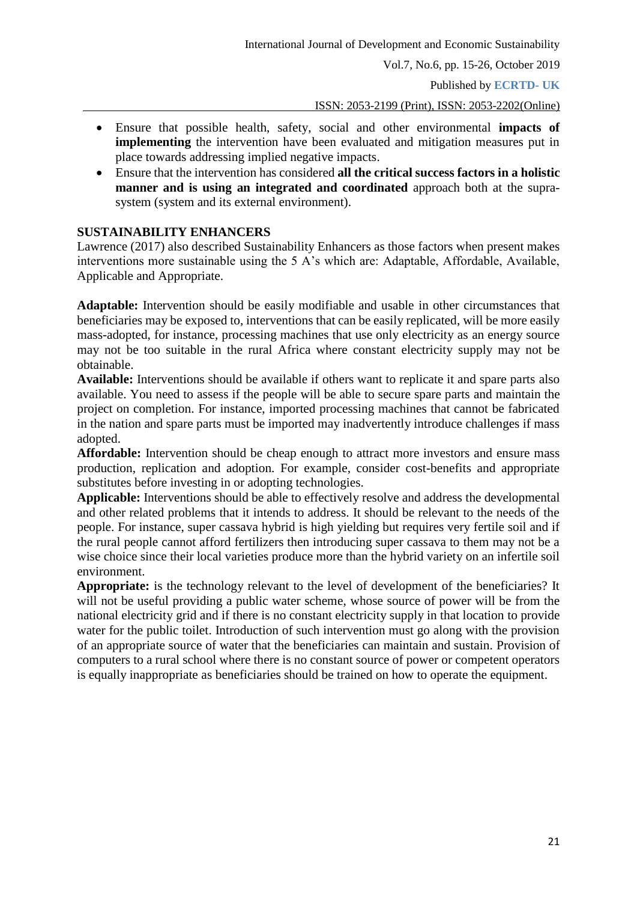Published by **ECRTD- UK** 

ISSN: 2053-2199 (Print), ISSN: 2053-2202(Online)

- Ensure that possible health, safety, social and other environmental **impacts of implementing** the intervention have been evaluated and mitigation measures put in place towards addressing implied negative impacts.
- Ensure that the intervention has considered **all the critical success factors in a holistic manner and is using an integrated and coordinated** approach both at the suprasystem (system and its external environment).

### **SUSTAINABILITY ENHANCERS**

Lawrence (2017) also described Sustainability Enhancers as those factors when present makes interventions more sustainable using the 5 A's which are: Adaptable, Affordable, Available, Applicable and Appropriate.

**Adaptable:** Intervention should be easily modifiable and usable in other circumstances that beneficiaries may be exposed to, interventions that can be easily replicated, will be more easily mass-adopted, for instance, processing machines that use only electricity as an energy source may not be too suitable in the rural Africa where constant electricity supply may not be obtainable.

**Available:** Interventions should be available if others want to replicate it and spare parts also available. You need to assess if the people will be able to secure spare parts and maintain the project on completion. For instance, imported processing machines that cannot be fabricated in the nation and spare parts must be imported may inadvertently introduce challenges if mass adopted.

**Affordable:** Intervention should be cheap enough to attract more investors and ensure mass production, replication and adoption. For example, consider cost-benefits and appropriate substitutes before investing in or adopting technologies.

**Applicable:** Interventions should be able to effectively resolve and address the developmental and other related problems that it intends to address. It should be relevant to the needs of the people. For instance, super cassava hybrid is high yielding but requires very fertile soil and if the rural people cannot afford fertilizers then introducing super cassava to them may not be a wise choice since their local varieties produce more than the hybrid variety on an infertile soil environment.

**Appropriate:** is the technology relevant to the level of development of the beneficiaries? It will not be useful providing a public water scheme, whose source of power will be from the national electricity grid and if there is no constant electricity supply in that location to provide water for the public toilet. Introduction of such intervention must go along with the provision of an appropriate source of water that the beneficiaries can maintain and sustain. Provision of computers to a rural school where there is no constant source of power or competent operators is equally inappropriate as beneficiaries should be trained on how to operate the equipment.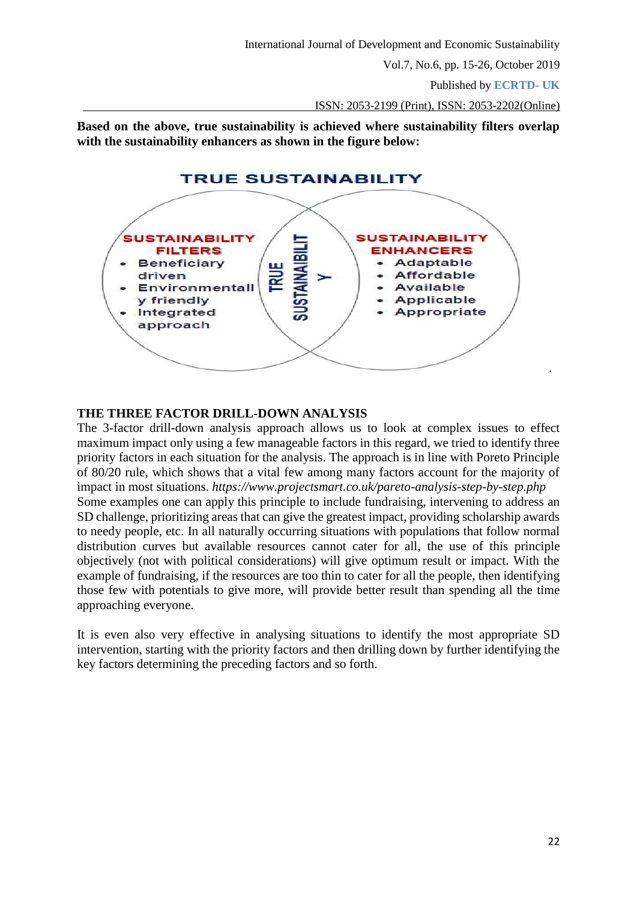Published by **ECRTD- UK** 

ISSN: 2053-2199 (Print), ISSN: 2053-2202(Online)

**Based on the above, true sustainability is achieved where sustainability filters overlap with the sustainability enhancers as shown in the figure below:**



### **THE THREE FACTOR DRILL-DOWN ANALYSIS**

The 3-factor drill-down analysis approach allows us to look at complex issues to effect maximum impact only using a few manageable factors in this regard, we tried to identify three priority factors in each situation for the analysis. The approach is in line with Poreto Principle of 80/20 rule, which shows that a vital few among many factors account for the majority of impact in most situations. *<https://www.projectsmart.co.uk/pareto-analysis-step-by-step.php>* Some examples one can apply this principle to include fundraising, intervening to address an SD challenge, prioritizing areas that can give the greatest impact, providing scholarship awards to needy people, etc. In all naturally occurring situations with populations that follow normal distribution curves but available resources cannot cater for all, the use of this principle objectively (not with political considerations) will give optimum result or impact. With the example of fundraising, if the resources are too thin to cater for all the people, then identifying those few with potentials to give more, will provide better result than spending all the time approaching everyone.

It is even also very effective in analysing situations to identify the most appropriate SD intervention, starting with the priority factors and then drilling down by further identifying the key factors determining the preceding factors and so forth.

.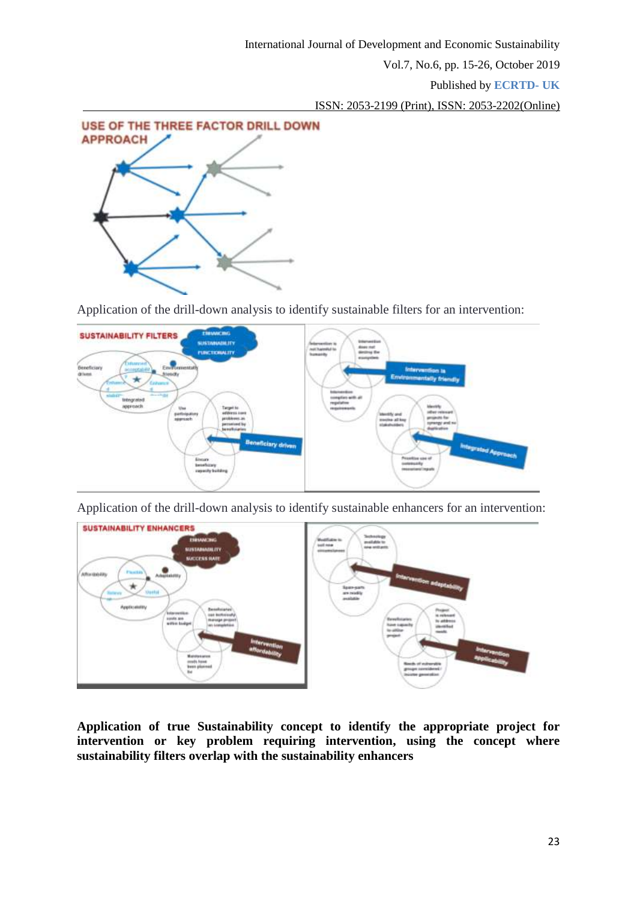Published by **ECRTD- UK** 

ISSN: 2053-2199 (Print), ISSN: 2053-2202(Online)



Application of the drill-down analysis to identify sustainable filters for an intervention:



Application of the drill-down analysis to identify sustainable enhancers for an intervention:



**Application of true Sustainability concept to identify the appropriate project for intervention or key problem requiring intervention, using the concept where sustainability filters overlap with the sustainability enhancers**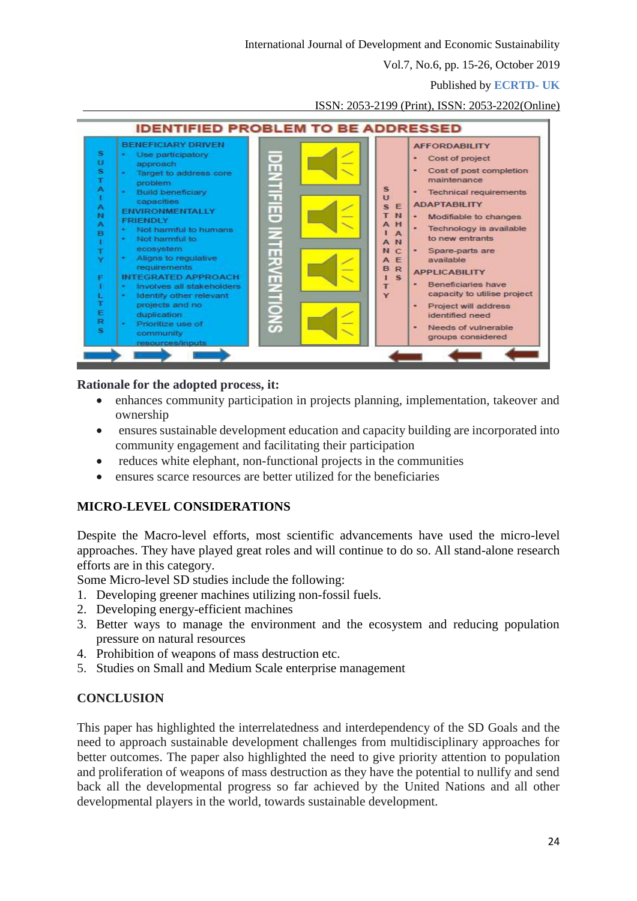Published by **ECRTD- UK** 

ISSN: 2053-2199 (Print), ISSN: 2053-2202(Online)



#### **Rationale for the adopted process, it:**

- enhances community participation in projects planning, implementation, takeover and ownership
- ensures sustainable development education and capacity building are incorporated into community engagement and facilitating their participation
- reduces white elephant, non-functional projects in the communities
- ensures scarce resources are better utilized for the beneficiaries

## **MICRO-LEVEL CONSIDERATIONS**

Despite the Macro-level efforts, most scientific advancements have used the micro-level approaches. They have played great roles and will continue to do so. All stand-alone research efforts are in this category.

Some Micro-level SD studies include the following:

- 1. Developing greener machines utilizing non-fossil fuels.
- 2. Developing energy-efficient machines
- 3. Better ways to manage the environment and the ecosystem and reducing population pressure on natural resources
- 4. Prohibition of weapons of mass destruction etc.
- 5. Studies on Small and Medium Scale enterprise management

## **CONCLUSION**

This paper has highlighted the interrelatedness and interdependency of the SD Goals and the need to approach sustainable development challenges from multidisciplinary approaches for better outcomes. The paper also highlighted the need to give priority attention to population and proliferation of weapons of mass destruction as they have the potential to nullify and send back all the developmental progress so far achieved by the United Nations and all other developmental players in the world, towards sustainable development.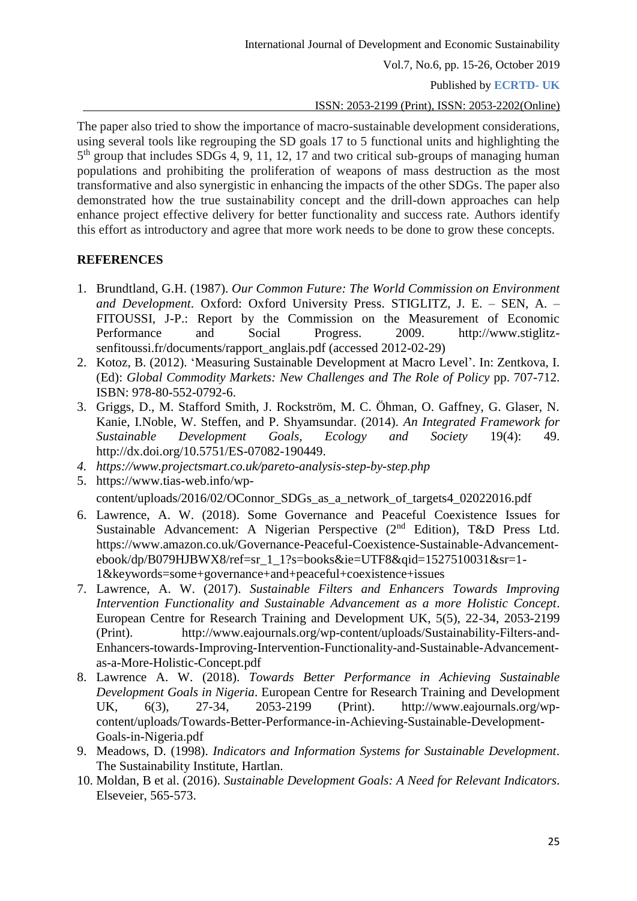Published by **ECRTD- UK** 

ISSN: 2053-2199 (Print), ISSN: 2053-2202(Online)

The paper also tried to show the importance of macro-sustainable development considerations, using several tools like regrouping the SD goals 17 to 5 functional units and highlighting the 5<sup>th</sup> group that includes SDGs 4, 9, 11, 12, 17 and two critical sub-groups of managing human populations and prohibiting the proliferation of weapons of mass destruction as the most transformative and also synergistic in enhancing the impacts of the other SDGs. The paper also demonstrated how the true sustainability concept and the drill-down approaches can help enhance project effective delivery for better functionality and success rate. Authors identify this effort as introductory and agree that more work needs to be done to grow these concepts.

# **REFERENCES**

- 1. Brundtland, G.H. (1987). *Our Common Future: The World Commission on Environment and Development.* Oxford: Oxford University Press. STIGLITZ, J. E. – SEN, A. – FITOUSSI, J-P.: Report by the Commission on the Measurement of Economic Performance and Social Progress. 2009. http://www.stiglitzsenfitoussi.fr/documents/rapport\_anglais.pdf (accessed 2012-02-29)
- 2. Kotoz, B. (2012). 'Measuring Sustainable Development at Macro Level'. In: Zentkova, I. (Ed): *Global Commodity Markets: New Challenges and The Role of Policy* pp. 707-712. ISBN: 978-80-552-0792-6.
- 3. Griggs, D., M. Stafford Smith, J. Rockström, M. C. Öhman, O. Gaffney, G. Glaser, N. Kanie, I.Noble, W. Steffen, and P. Shyamsundar. (2014). *An Integrated Framework for Sustainable Development Goals, Ecology and Society* 19(4): 49. [http://dx.doi.org/10.5751/ES-07082-190449.](http://dx.doi.org/10.5751/ES-07082-190449)
- *4. <https://www.projectsmart.co.uk/pareto-analysis-step-by-step.php>*
- 5. [https://www.tias-web.info/wp](https://www.tias-web.info/wp-content/uploads/2016/02/OConnor_SDGs_as_a_network_of_targets4_02022016.pdf)[content/uploads/2016/02/OConnor\\_SDGs\\_as\\_a\\_network\\_of\\_targets4\\_02022016.pdf](https://www.tias-web.info/wp-content/uploads/2016/02/OConnor_SDGs_as_a_network_of_targets4_02022016.pdf)
- 6. Lawrence, A. W. (2018). Some Governance and Peaceful Coexistence Issues for Sustainable Advancement: A Nigerian Perspective (2<sup>nd</sup> Edition), T&D Press Ltd. [https://www.amazon.co.uk/Governance-Peaceful-Coexistence-Sustainable-Advancement](https://www.amazon.co.uk/Governance-Peaceful-Coexistence-Sustainable-Advancement-ebook/dp/B079HJBWX8/ref=sr_1_1?s=books&ie=UTF8&qid=1527510031&sr=1-1&keywords=some+governance+and+peaceful+coexistence+issues)[ebook/dp/B079HJBWX8/ref=sr\\_1\\_1?s=books&ie=UTF8&qid=1527510031&sr=1-](https://www.amazon.co.uk/Governance-Peaceful-Coexistence-Sustainable-Advancement-ebook/dp/B079HJBWX8/ref=sr_1_1?s=books&ie=UTF8&qid=1527510031&sr=1-1&keywords=some+governance+and+peaceful+coexistence+issues) [1&keywords=some+governance+and+peaceful+coexistence+issues](https://www.amazon.co.uk/Governance-Peaceful-Coexistence-Sustainable-Advancement-ebook/dp/B079HJBWX8/ref=sr_1_1?s=books&ie=UTF8&qid=1527510031&sr=1-1&keywords=some+governance+and+peaceful+coexistence+issues)
- 7. Lawrence, A. W. (2017). *Sustainable Filters and Enhancers Towards Improving Intervention Functionality and Sustainable Advancement as a more Holistic Concept*. European Centre for Research Training and Development UK, 5(5), 22-34, 2053-2199 (Print). [http://www.eajournals.org/wp-content/uploads/Sustainability-Filters-and-](http://www.eajournals.org/wp-content/uploads/Sustainability-Filters-and-Enhancers-towards-Improving-Intervention-Functionality-and-Sustainable-Advancement-as-a-More-Holistic-Concept.pdf)[Enhancers-towards-Improving-Intervention-Functionality-and-Sustainable-Advancement](http://www.eajournals.org/wp-content/uploads/Sustainability-Filters-and-Enhancers-towards-Improving-Intervention-Functionality-and-Sustainable-Advancement-as-a-More-Holistic-Concept.pdf)[as-a-More-Holistic-Concept.pdf](http://www.eajournals.org/wp-content/uploads/Sustainability-Filters-and-Enhancers-towards-Improving-Intervention-Functionality-and-Sustainable-Advancement-as-a-More-Holistic-Concept.pdf)
- 8. Lawrence A. W. (2018). *Towards Better Performance in Achieving Sustainable Development Goals in Nigeria*. European Centre for Research Training and Development UK, 6(3), 27-34, 2053-2199 (Print). [http://www.eajournals.org/wp](http://www.eajournals.org/wp-content/uploads/Towards-Better-Performance-in-Achieving-Sustainable-Development-Goals-in-Nigeria.pdf)[content/uploads/Towards-Better-Performance-in-Achieving-Sustainable-Development-](http://www.eajournals.org/wp-content/uploads/Towards-Better-Performance-in-Achieving-Sustainable-Development-Goals-in-Nigeria.pdf)[Goals-in-Nigeria.pdf](http://www.eajournals.org/wp-content/uploads/Towards-Better-Performance-in-Achieving-Sustainable-Development-Goals-in-Nigeria.pdf)
- 9. Meadows, D. (1998). *Indicators and Information Systems for Sustainable Development*. The Sustainability Institute, Hartlan.
- 10. Moldan, B et al. (2016). *Sustainable Development Goals: A Need for Relevant Indicators*. Elseveier, 565-573.